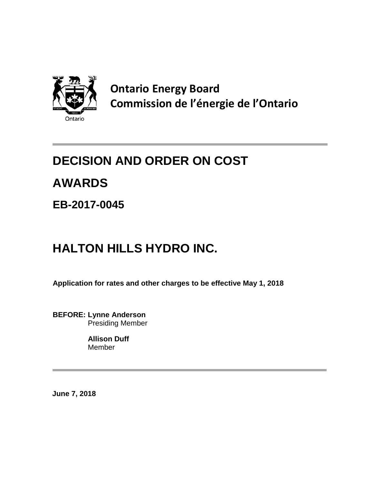

**Ontario Energy Board Commission de l'énergie de l'Ontario**

## **DECISION AND ORDER ON COST**

# **AWARDS**

### **EB-2017-0045**

# **HALTON HILLS HYDRO INC.**

**Application for rates and other charges to be effective May 1, 2018**

**BEFORE: Lynne Anderson** Presiding Member

> **Allison Duff** Member

**June 7, 2018**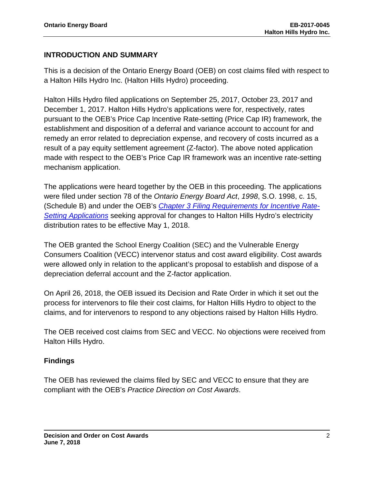#### **INTRODUCTION AND SUMMARY**

This is a decision of the Ontario Energy Board (OEB) on cost claims filed with respect to a Halton Hills Hydro Inc. (Halton Hills Hydro) proceeding.

Halton Hills Hydro filed applications on September 25, 2017, October 23, 2017 and December 1, 2017. Halton Hills Hydro's applications were for, respectively, rates pursuant to the OEB's Price Cap Incentive Rate-setting (Price Cap IR) framework, the establishment and disposition of a deferral and variance account to account for and remedy an error related to depreciation expense, and recovery of costs incurred as a result of a pay equity settlement agreement (Z-factor). The above noted application made with respect to the OEB's Price Cap IR framework was an incentive rate-setting mechanism application.

The applications were heard together by the OEB in this proceeding. The applications were filed under section 78 of the *Ontario Energy Board Act*, *1998*, S.O. 1998, c. 15, (Schedule B) and under the OEB's *[Chapter 3 Filing Requirements for Incentive Rate-](https://www.oeb.ca/sites/default/files/Filing%20Requirements%20Chapter%203_20072017.pdf)[Setting Applications](https://www.oeb.ca/sites/default/files/Filing%20Requirements%20Chapter%203_20072017.pdf)* seeking approval for changes to Halton Hills Hydro's electricity distribution rates to be effective May 1, 2018.

The OEB granted the School Energy Coalition (SEC) and the Vulnerable Energy Consumers Coalition (VECC) intervenor status and cost award eligibility. Cost awards were allowed only in relation to the applicant's proposal to establish and dispose of a depreciation deferral account and the Z-factor application.

On April 26, 2018, the OEB issued its Decision and Rate Order in which it set out the process for intervenors to file their cost claims, for Halton Hills Hydro to object to the claims, and for intervenors to respond to any objections raised by Halton Hills Hydro.

The OEB received cost claims from SEC and VECC. No objections were received from Halton Hills Hydro.

#### **Findings**

The OEB has reviewed the claims filed by SEC and VECC to ensure that they are compliant with the OEB's *Practice Direction on Cost Awards*.